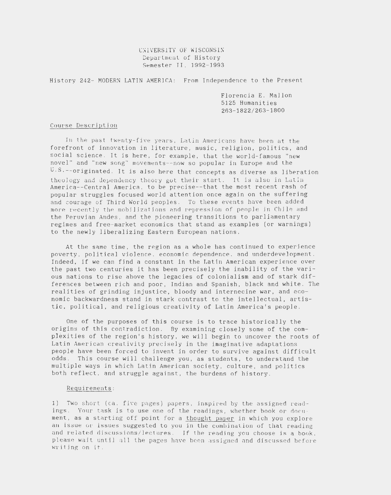## UNIVERSITY OF WISCONSIN Department of History Semester II, 1992-1993

History 242- MODERN LATIN AMERICA: From Independence to the Present

Florencia E. Mallon 5125 Humanities 263-1822/263-1800

## Course Description

In the past twenty-five years, Latin Americans have been at the forefront of innovation in literature, music, religion, politics, and social science. It is here, for example, that the world-famous "new novel" and "new song" movements--now so popular in Europe and the U.S.--originated. It is also here that concepts as diverse as liberation theology and dependency theory got their start. It is also in Latin America--Central America, to be precise--that the most recent rash of popular struggles focused world attention once again on the suffering and courage of Third World peoples. To these events have been added more recently the mobilizations and repression of people in Chile and the Peruvian Andes, and the pioneering transitions to parliamentary regimes and free-market economics that stand as examples (or warnings) to the newly liberalizing Eastern European nations.

At the same time, the region as a whole has continued to experience poverty, political violence, economic dependence, and underdevelopment. Indeed, if we can find a constant in the Latin American experience over the past two centuries it has been precisely the inability of the various nations to rise above the legacies of colonialism and of stark differences between rich and poor, Indian and Spanish, black and white. The realities of grinding injustice, bloody and internecine war, and economic backwardness stand in stark contrast to the intellectual, artistic, political, and religious creativity of Latin America's people.

One of the purposes of this course is to trace historically the origins of this contradiction. By examining closely some of the complexities of the region's history, we will begin to uncover the roots of Latin American creativity precisely in the imaginative adaptations people have been forced to invent in order to survive against difficult odds. This course will challenge you, as students, to understand the multiple ways in which Latin American society, culture, and politics both reflect, and struggle against, the burdens of history.

## Requirements:

1) Two short (ca. five pages) papers, inspired by the assigned readings. Your task is to use one of the readings, whether book or document, as a starting off point for a thought paper in which you explore an issue or issues suggested to you in the combination of that reading and related discussions/lectures. If the reading you choose is a book, please wait until all the pages have been assigned and discussed before writing on it.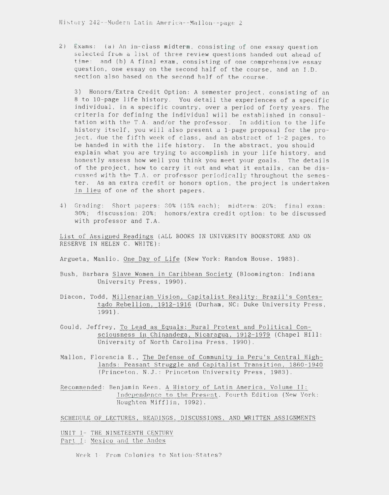2) Exams: (a) An in-class midterm, consisting of one essay question selected from a list of three review questions handed out ahead of time; and (b) A final exam, consjsting of one comprehensive essay question, one essay on the second half of the course, and an I.D. section also based on the second half of the course.

3) Honors/Extra Credit Option: A semester project, consisting of an 8 to 10-page *life* history. You detail the experiences of a specific individual, in a specific country, over a period of forty years. The criteria for defining the individual will be established in consultation with the T.A. and/or the professor. In addition to the life history itself, you will also present a 1-page proposal for the project, due the fifth week of class, and an abstract of 1-2 pages, to be handed in with the life history. In the abstract, you should explain what you are trying to accomplish in your life history, and honestly assess how well you think you meet your goals. The details of the project, how to carry it out and what it entails, can be discussed with the T.A. or professor periodically throughout the semester. As an extra credit or honors option, the project is undertaken in lieu of one of the short papers.

4) Grading: Short papers: 30% (15% each); midterm: 20%; final exam: 30%; discussion: 20%; honors/extra credit option: to be discussed with professor and T.A.

List of Assigned Readings (ALL BOOKS IN UNIVERSITY BOOKSTORE AND ON RESERVE IN HELEN C. WHITE):

Argueta, Manlio, One Dav of Life (New York: Random House, 1983).

- Bush, Barbara Slave Women in Caribbean Society (Bloomington: Indiana University Press, 1990).
- Diacon, Todd, Millenarian Vision, Capitalist Reality: Brazil's Contestado Rebellion, 1912-1916 (Durham, NC: Duke University Press, 1991).
- Gould, Jeffrey, To Lead as Equals: Rural Protest and Political Consciousness in Chinandega, Nicaragua, 1912-1979 (Chapel Hill: University of North Carolina Press, 1990).
- Mallon, Florencia E., The Defense of Community in Peru's Central Highlands: Peasant Struggle and Capitalist Transition, 1860-1940 (Princeton. N.J.: Princeton University Press, 1983).

Recommended: Benjamin Keen , A History of Latin America, Volume II: Independence to the Present, Fourth Edition (New York: Houghton Mifflin, 1992).

SCHEDULE OF LECTURES, READINGS , DISCUSSIONS, AND WRITTEN ASSIGNMENTS

UNIT I- THE NINETEENTH CENTURY Part I: Mexico and the Andes

Week 1- From Colonies to Nation-States?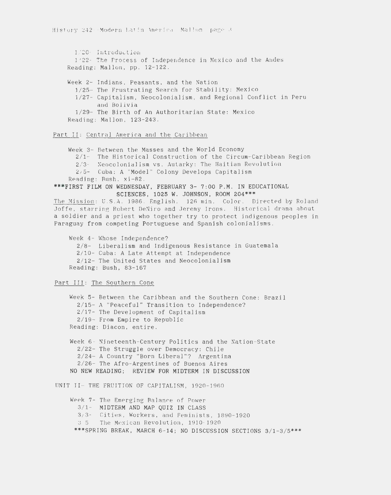1/20 - Introduction 1/22- The Process of Independence in Mexico and the Andes Reading: Mallon, pp. 12-122. Week 2- Indians, Peasants, and the Nation 1/ 25- The Frustrating Search for Stability: Mexico 1/ 27 - Capitalism, Neocolonialism , and Regional Conflict in Peru and Bolivia 1/ 29- The Birth of An Authoritarian State: Mexico Reading: Mallon, 123-243.

Part II: Central America and the Caribbean

Week 3- Between the Masses and the World Economy 2/ 1- The Historical Construction of the Circum- Caribbean Region 2/3– Neocolonialism vs. Autarky: The Haitian Revolution 2/ 5- Cuba: A "Model " Colony Develops Capitalism Reading: Bush. xi-82. \*\*\*FIRST FILM ON WEDNESDAY, FEBRUARY 3- 7:00 P.M. IN EDUCATIONAL SCIENCES, 1025 W. JOHNSON, ROOM 204\*\*\* The Mission: U.S.A. 1986. English. 126 min. Color. Directed by Roland Joffe, starring Robert DeNiro and Jeremy Irons. Historical drama about a soldier and a priest who together try to protect indigenous peoples in Paraguay from competing Portuguese and Spanish colonialisms. Week 4- Whose Independence? 2/ 8- Liberalism and Indigenous Resistance in Guatemala 2/ 10- Cuba: A Late Attempt at Independence 2/ 12- The United States and Neocolonialism Reading: Bush, 83-167 Part III: The Southern Cone Week 5- Between the Caribbean and the Southern Cone: Brazil

2/ 15- A "Peaceful" Transition to Independence? 2/ 17- The Development of Capitalism 2/ 19- From Empire to Republic Reading: Diacon, entire.

Week 6 - Nineteenth-Century Politics and the Nation-State 2/ 22- The Struggle over Democracy: Chile 2/ 24- A Country "Born Liberal"? Argentina 2/ 26- The Afro-Argentines of Buenos Aires NO NEW READING; REVIEW FOR MIDTERM IN DISCUSSION

UNIT II- THE FRUITION OF CAPITALISM, 1920-1960

Week 7- The Emerging Balance of Power 3/ 1- MIDTERM AND MAP QUIZ IN CLASS  $3/3$ - Cities, Workers, and Feminists, 1890-1920 3/ 5 The Mexic an Revolution, 1910 - 1920 \*\*\*SPRING BREAK, MARCH 6-14; NO DISCUSSION SECTIONS  $3/1-3/5$ \*\*\*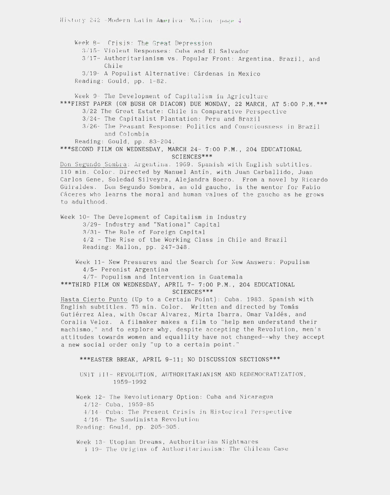Week 8- Crisis: The Great Depression 3/15- Violent Responses: Cuba and El Salvador 3/17- Authoritarianism vs. Popular Front: Argentina, Brazil, and  $Chile$ 3/19- A Populist Alternative: Cárdenas in Mexico Reading: Gould, pp. 1-82. Week 9- The Development of Capitalism in Agriculture \*\*\*FIRST PAPER (ON BUSH OR DIACON) DUE MONDAY, 22 MARCH, AT 5:00 P.M.\*\*\* 3/22 The Great Estate: Chile in Comparative Perspective 3/24- The Capitalist Plantation: Peru and Brazil 3/26- The Peasant Response: Politics and Consciousness in Brazil and Colombia Reading: Gould, pp. 83-204. \*\*\*SECOND FILM ON WEDNESDAY, MARCH 24- 7:00 P.M., 204 EDUCATIONAL SCIENCES\*\*\* Don Segundo Sombra: Argentina. 1969. Spanish with English subtitles. 110 min. Color. Directed by Manuel Antín, with Juan Carballido, Juan Carlos Gene, Soledad Silveyra, Alejandra Boero. From a novel by Ricardo Güiraldes. Don Segundo Sombra, an old gaucho, is the mentor for Fabio Cáceres who learns the moral and human values of the gaucho as he grows to adulthood. Week 10- The Development of Capitalism in Industry 3/29- Industry and "National" Capital 3/31- The Role of Foreign Capital 4/2 - The Rise of the Working Class in Chile and Brazil Reading: Mallon, pp. 247-348. Week 11- New Pressures and the Search for New Answers: Populism 4/5- Peronist Argentina 4/7- Populism and Intervention in Guatemala \*\*\*THIRD FILM ON WEDNESDAY, APRIL 7- 7:00 P.M., 204 EDUCATIONAL SCIENCES\*\*\* Hasta Cierto Punto (Up to a Certain Point): Cuba. 1983. Spanish with English subtitles. 75 min. Color. Written and directed by Tomás Gutiérrez Alea, with Oscar Alvarez, Mirta Ibarra, Omar Valdés, and Coralia Veloz. A filmaker makes a film to "help men understand their machismo," and to explore why, despite accepting the Revolution, men's attitudes towards women and equallity have not changed--why they accept a new social order only "up to a certain point." \*\*\*EASTER BREAK, APRIL 9-11; NO DISCUSSION SECTIONS\*\*\* UNIT III- REVOLUTION, AUTHORITARIANISM AND REDEMOCRATIZATION, 1959-1992 Week 12- The Revolutionary Option: Cuba and Nicaragua  $4/12$ - Cuba, 1959-85 4/14 - Cuba: The Present Crisis in Historical Perspective 4/16- The Sandinista Revolution Reading: Gould, pp. 205-305.

Week 13- Utopian Dreams, Authoritarian Nightmares 4 19- The Origins of Authoritarianism: The Chilean Case